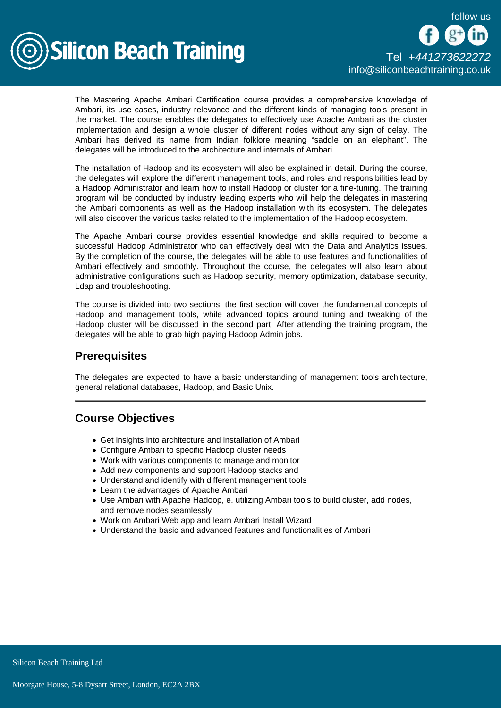

The Mastering Apache Ambari Certification course provides a comprehensive knowledge of Ambari, its use cases, industry relevance and the different kinds of managing tools present in the market. The course enables the delegates to effectively use Apache Ambari as the cluster implementation and design a whole cluster of different nodes without any sign of delay. The Ambari has derived its name from Indian folklore meaning "saddle on an elephant". The delegates will be introduced to the architecture and internals of Ambari.

The installation of Hadoop and its ecosystem will also be explained in detail. During the course, the delegates will explore the different management tools, and roles and responsibilities lead by a Hadoop Administrator and learn how to install Hadoop or cluster for a fine-tuning. The training program will be conducted by industry leading experts who will help the delegates in mastering the Ambari components as well as the Hadoop installation with its ecosystem. The delegates will also discover the various tasks related to the implementation of the Hadoop ecosystem.

The Apache Ambari course provides essential knowledge and skills required to become a successful Hadoop Administrator who can effectively deal with the Data and Analytics issues. By the completion of the course, the delegates will be able to use features and functionalities of Ambari effectively and smoothly. Throughout the course, the delegates will also learn about administrative configurations such as Hadoop security, memory optimization, database security, Ldap and troubleshooting.

The course is divided into two sections; the first section will cover the fundamental concepts of Hadoop and management tools, while advanced topics around tuning and tweaking of the Hadoop cluster will be discussed in the second part. After attending the training program, the delegates will be able to grab high paying Hadoop Admin jobs.

# **Prerequisites**

The delegates are expected to have a basic understanding of management tools architecture, general relational databases, Hadoop, and Basic Unix.

# Course Objectives

- Get insights into architecture and installation of Ambari
- Configure Ambari to specific Hadoop cluster needs
- Work with various components to manage and monitor
- Add new components and support Hadoop stacks and
- Understand and identify with different management tools
- Learn the advantages of Apache Ambari
- Use Ambari with Apache Hadoop, e. utilizing Ambari tools to build cluster, add nodes, and remove nodes seamlessly
- Work on Ambari Web app and learn Ambari Install Wizard
- Understand the basic and advanced features and functionalities of Ambari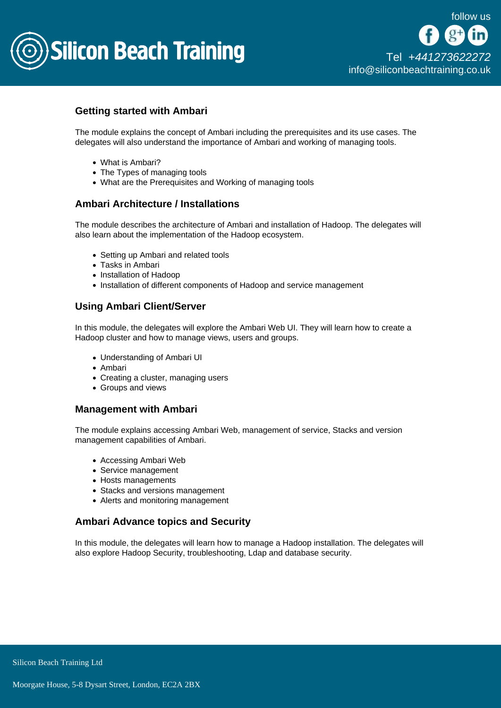

## Getting started with Ambari

The module explains the concept of Ambari including the prerequisites and its use cases. The delegates will also understand the importance of Ambari and working of managing tools.

- What is Ambari?
- The Types of managing tools
- What are the Prerequisites and Working of managing tools

### Ambari Architecture / Installations

The module describes the architecture of Ambari and installation of Hadoop. The delegates will also learn about the implementation of the Hadoop ecosystem.

- Setting up Ambari and related tools
- Tasks in Ambari
- Installation of Hadoop
- Installation of different components of Hadoop and service management

## Using Ambari Client/Server

In this module, the delegates will explore the Ambari Web UI. They will learn how to create a Hadoop cluster and how to manage views, users and groups.

- Understanding of Ambari UI
- Ambari
- Creating a cluster, managing users
- Groups and views

### Management with Ambari

The module explains accessing Ambari Web, management of service, Stacks and version management capabilities of Ambari.

- Accessing Ambari Web
- Service management
- Hosts managements
- Stacks and versions management
- Alerts and monitoring management

### Ambari Advance topics and Security

In this module, the delegates will learn how to manage a Hadoop installation. The delegates will also explore Hadoop Security, troubleshooting, Ldap and database security.